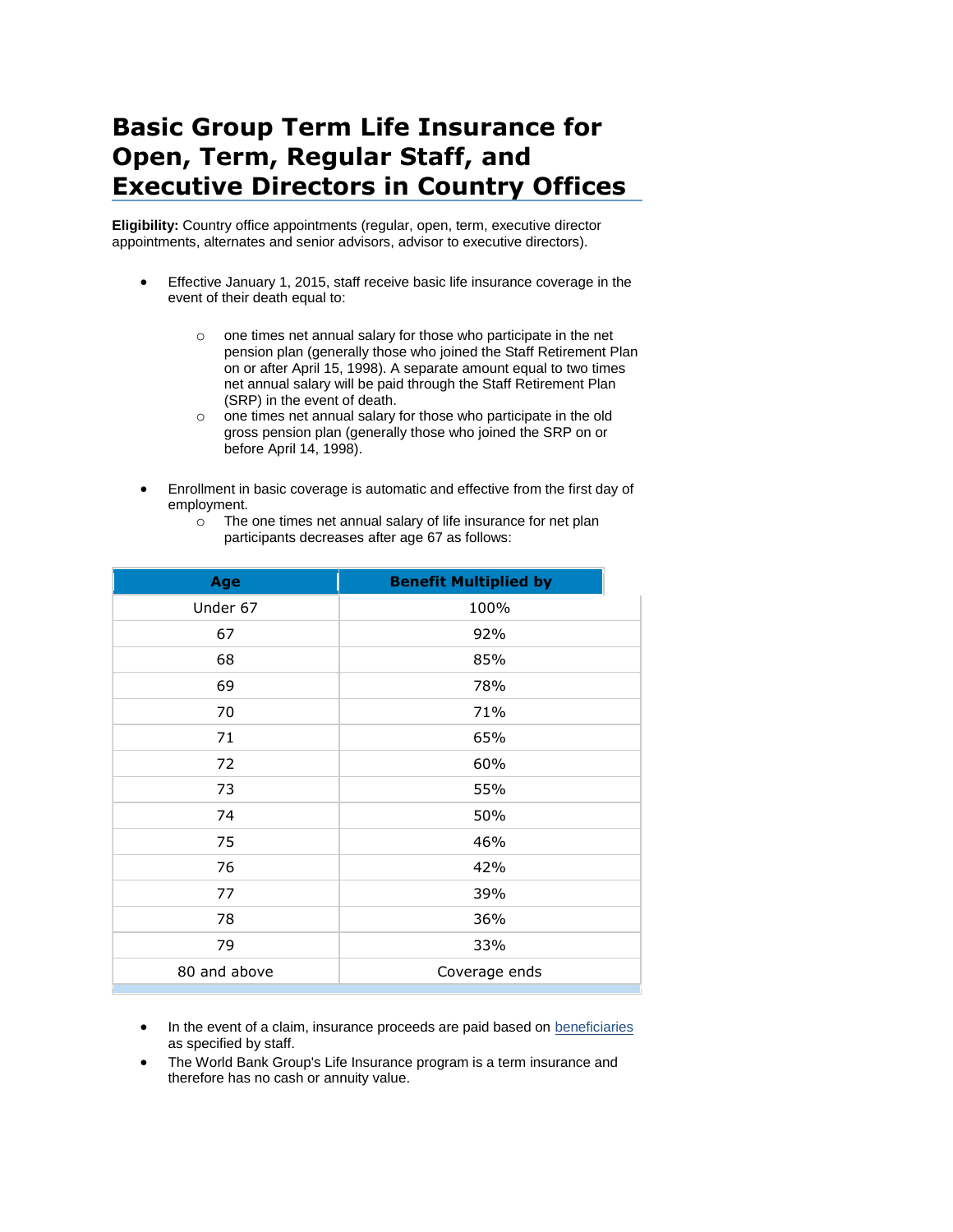## **Basic Group Term Life Insurance for Open, Term, Regular Staff, and Executive Directors in Country Offices**

**Eligibility:** Country office appointments (regular, open, term, executive director appointments, alternates and senior advisors, advisor to executive directors).

- Effective January 1, 2015, staff receive basic life insurance coverage in the event of their death equal to:
	- o one times net annual salary for those who participate in the net pension plan (generally those who joined the Staff Retirement Plan on or after April 15, 1998). A separate amount equal to two times net annual salary will be paid through the Staff Retirement Plan (SRP) in the event of death.
	- o one times net annual salary for those who participate in the old gross pension plan (generally those who joined the SRP on or before April 14, 1998).
- Enrollment in basic coverage is automatic and effective from the first day of employment.
	- o The one times net annual salary of life insurance for net plan participants decreases after age 67 as follows:

| Age          | <b>Benefit Multiplied by</b> |  |
|--------------|------------------------------|--|
| Under 67     | 100%                         |  |
| 67           | 92%                          |  |
| 68           | 85%                          |  |
| 69           | 78%                          |  |
| 70           | 71%                          |  |
| 71           | 65%                          |  |
| 72           | 60%                          |  |
| 73           | 55%                          |  |
| 74           | 50%                          |  |
| 75           | 46%                          |  |
| 76           | 42%                          |  |
| 77           | 39%                          |  |
| 78           | 36%                          |  |
| 79           | 33%                          |  |
| 80 and above | Coverage ends                |  |
|              |                              |  |

- In the event of a claim, insurance proceeds are paid based on beneficiaries as specified by staff.
- The World Bank Group's Life Insurance program is a term insurance and therefore has no cash or annuity value.